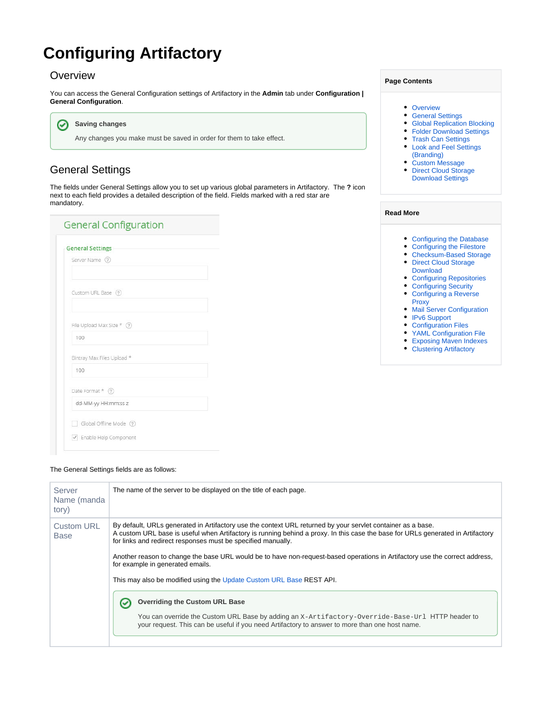# **Configuring Artifactory**

#### <span id="page-0-0"></span>**Overview**

You can access the General Configuration settings of Artifactory in the **Admin** tab under **Configuration | General Configuration**.

**Saving changes** ⊘

Any changes you make must be saved in order for them to take effect.

### <span id="page-0-1"></span>General Settings

The fields under General Settings allow you to set up various global parameters in Artifactory. The **?** icon next to each field provides a detailed description of the field. Fields marked with a red star are mandatory.

| <b>General Settings</b>         |  |
|---------------------------------|--|
| Server Name 2                   |  |
|                                 |  |
| Custom URL Base (?)             |  |
|                                 |  |
| File Upload Max Size * ?        |  |
| 100                             |  |
| Bintray Max Files Upload *      |  |
| 100                             |  |
| Date Format * (?)               |  |
| dd-MM-yy HH:mm:ss z             |  |
|                                 |  |
| Global Offline Mode 2           |  |
| $\sqrt{}$ Enable Help Component |  |

#### The General Settings fields are as follows:

| Server<br>Name (manda<br>tory)   | The name of the server to be displayed on the title of each page.                                                                                                                                                                                                                                                                                                                                                                                                                                                                                                                                  |
|----------------------------------|----------------------------------------------------------------------------------------------------------------------------------------------------------------------------------------------------------------------------------------------------------------------------------------------------------------------------------------------------------------------------------------------------------------------------------------------------------------------------------------------------------------------------------------------------------------------------------------------------|
| <b>Custom URL</b><br><b>Base</b> | By default, URLs generated in Artifactory use the context URL returned by your servlet container as a base.<br>A custom URL base is useful when Artifactory is running behind a proxy. In this case the base for URLs generated in Artifactory<br>for links and redirect responses must be specified manually.<br>Another reason to change the base URL would be to have non-request-based operations in Artifactory use the correct address,<br>for example in generated emails.<br>This may also be modified using the Update Custom URL Base REST API.<br><b>Overriding the Custom URL Base</b> |
|                                  | You can override the Custom URL Base by adding an X-Artifactory-Override-Base-Url HTTP header to<br>your request. This can be useful if you need Artifactory to answer to more than one host name.                                                                                                                                                                                                                                                                                                                                                                                                 |

#### **Page Contents**

- [Overview](#page-0-0)
- [General Settings](#page-0-1)
- [Global Replication Blocking](#page-1-0)
- [Folder Download Settings](#page-1-1)
- [Trash Can Settings](#page-2-0)
- [Look and Feel Settings](#page-2-1)
- [\(Branding\)](#page-2-1) [Custom Message](#page-3-0)
- Direct Cloud Storage [Download Settings](#page-4-0)

#### **Read More**

- [Configuring the Database](https://www.jfrog.com/confluence/display/RTF6X/Configuring+the+Database)
- [Configuring the Filestore](https://www.jfrog.com/confluence/display/RTF6X/Configuring+the+Filestore) [Checksum-Based Storage](https://www.jfrog.com/confluence/display/RTF6X/Checksum-Based+Storage)
- Direct Cloud Storage [Download](https://www.jfrog.com/confluence/display/RTF6X/Direct+Cloud+Storage+Download)
- [Configuring Repositories](https://www.jfrog.com/confluence/display/RTF6X/Configuring+Repositories)
- [Configuring Security](https://www.jfrog.com/confluence/display/RTF6X/Configuring+Security) [Configuring a Reverse](https://www.jfrog.com/confluence/display/RTF6X/Configuring+a+Reverse+Proxy)
- [Proxy](https://www.jfrog.com/confluence/display/RTF6X/Configuring+a+Reverse+Proxy)
- **[Mail Server Configuration](https://www.jfrog.com/confluence/display/RTF6X/Mail+Server+Configuration)**
- [IPv6 Support](https://www.jfrog.com/confluence/display/RTF6X/IPv6+Support)
- [Configuration Files](https://www.jfrog.com/confluence/display/RTF6X/Configuration+Files)
- [YAML Configuration File](https://www.jfrog.com/confluence/display/RTF6X/YAML+Configuration+File)
- [Exposing Maven Indexes](https://www.jfrog.com/confluence/display/RTF6X/Exposing+Maven+Indexes)
- [Clustering Artifactory](https://www.jfrog.com/confluence/display/RTF6X/Clustering+Artifactory)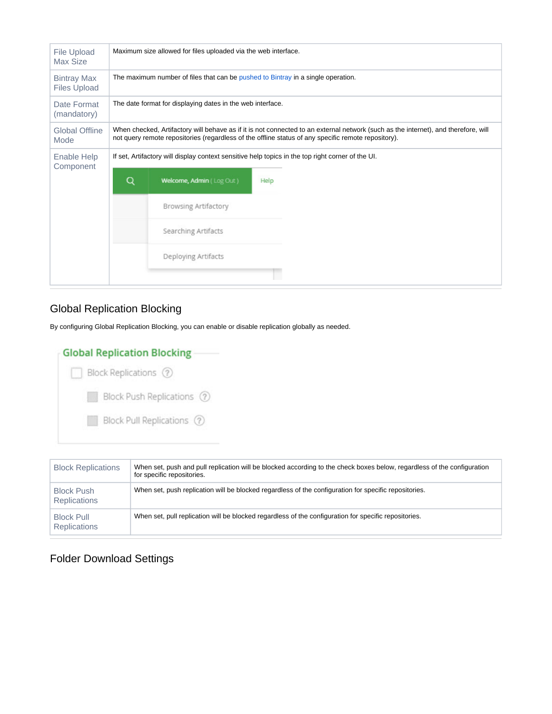| <b>File Upload</b><br>Max Size            |                                                                                                                                                                                                                                           | Maximum size allowed for files uploaded via the web interface.                                    |      |  |
|-------------------------------------------|-------------------------------------------------------------------------------------------------------------------------------------------------------------------------------------------------------------------------------------------|---------------------------------------------------------------------------------------------------|------|--|
| <b>Bintray Max</b><br><b>Files Upload</b> | The maximum number of files that can be pushed to Bintray in a single operation.                                                                                                                                                          |                                                                                                   |      |  |
| Date Format<br>(mandatory)                | The date format for displaying dates in the web interface.                                                                                                                                                                                |                                                                                                   |      |  |
| <b>Global Offline</b><br>Mode             | When checked, Artifactory will behave as if it is not connected to an external network (such as the internet), and therefore, will<br>not query remote repositories (regardless of the offline status of any specific remote repository). |                                                                                                   |      |  |
| Enable Help                               |                                                                                                                                                                                                                                           | If set, Artifactory will display context sensitive help topics in the top right corner of the UI. |      |  |
| Component                                 | Q                                                                                                                                                                                                                                         | Welcome, Admin (Log Out)                                                                          | Help |  |
|                                           |                                                                                                                                                                                                                                           | <b>Browsing Artifactory</b>                                                                       |      |  |
|                                           |                                                                                                                                                                                                                                           | Searching Artifacts                                                                               |      |  |
|                                           |                                                                                                                                                                                                                                           | Deploying Artifacts                                                                               |      |  |
|                                           |                                                                                                                                                                                                                                           |                                                                                                   |      |  |

### <span id="page-1-0"></span>Global Replication Blocking

By configuring Global Replication Blocking, you can enable or disable replication globally as needed.

| <b>Global Replication Blocking</b> |
|------------------------------------|
| Block Replications (?)             |
| Block Push Replications (?)        |
| Block Pull Replications (?)        |
|                                    |

| <b>Block Replications</b>                | When set, push and pull replication will be blocked according to the check boxes below, regardless of the configuration<br>for specific repositories. |
|------------------------------------------|-------------------------------------------------------------------------------------------------------------------------------------------------------|
| <b>Block Push</b><br><b>Replications</b> | When set, push replication will be blocked regardless of the configuration for specific repositories.                                                 |
| <b>Block Pull</b><br><b>Replications</b> | When set, pull replication will be blocked regardless of the configuration for specific repositories.                                                 |

### <span id="page-1-1"></span>Folder Download Settings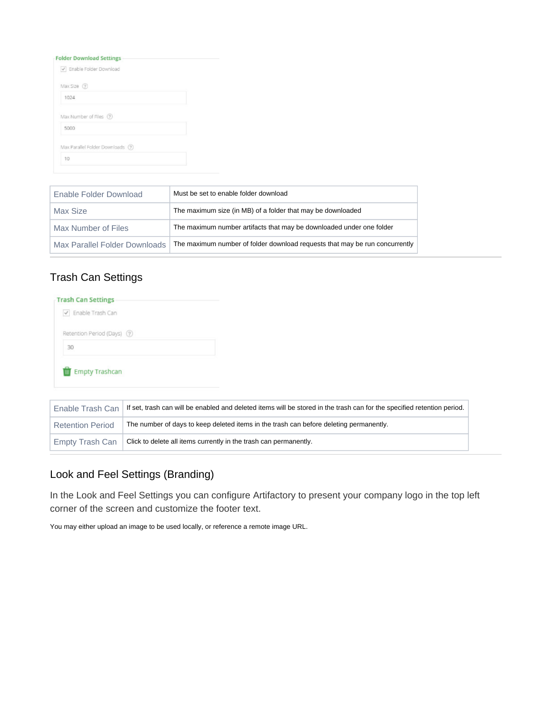#### **Folder Download Settings**

| V Enable Folder Download          |  |
|-----------------------------------|--|
| Max Size (?)                      |  |
| 1024                              |  |
| Max Number of Files (?)           |  |
| 5000                              |  |
| Max Parallel Folder Downloads (?) |  |
| 10                                |  |

| Enable Folder Download        | Must be set to enable folder download                                       |
|-------------------------------|-----------------------------------------------------------------------------|
| Max Size                      | The maximum size (in MB) of a folder that may be downloaded                 |
| Max Number of Files           | The maximum number artifacts that may be downloaded under one folder        |
| Max Parallel Folder Downloads | The maximum number of folder download requests that may be run concurrently |

### <span id="page-2-0"></span>Trash Can Settings

| <b>Trash Can Settings</b>   |  |
|-----------------------------|--|
| √ Enable Trash Can          |  |
| Retention Period (Days) (?) |  |
| 30                          |  |

|                         | Enable Trash Can   If set, trash can will be enabled and deleted items will be stored in the trash can for the specified retention period. |
|-------------------------|--------------------------------------------------------------------------------------------------------------------------------------------|
| <b>Retention Period</b> | The number of days to keep deleted items in the trash can before deleting permanently.                                                     |
| ' Empty Trash Can       | Click to delete all items currently in the trash can permanently.                                                                          |

# <span id="page-2-1"></span>Look and Feel Settings (Branding)

In the Look and Feel Settings you can configure Artifactory to present your company logo in the top left corner of the screen and customize the footer text.

You may either upload an image to be used locally, or reference a remote image URL.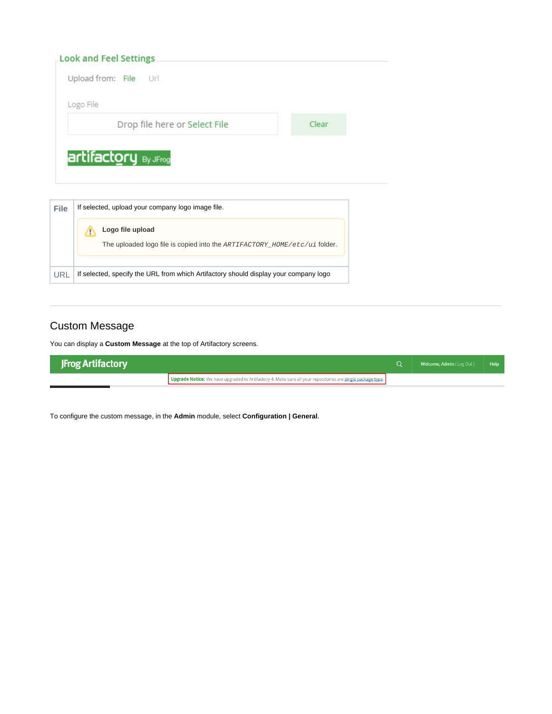| <b>Look and Feel Settings</b> |       |
|-------------------------------|-------|
| Upload from: File Url         |       |
| Logo File                     |       |
| Drop file here or Select File | Clear |

| <b>File</b> | If selected, upload your company logo image file.                                                   |  |  |  |
|-------------|-----------------------------------------------------------------------------------------------------|--|--|--|
|             | Logo file upload<br>The uploaded logo file is copied into the $ARTIFACTORY \_\_HOME/etc/ui$ folder. |  |  |  |
| URL         | If selected, specify the URL from which Artifactory should display your company logo                |  |  |  |

### <span id="page-3-0"></span>Custom Message

You can display a **Custom Message** at the top of Artifactory screens.

| <b>JFrog Artifactory</b> |                                                                                                             | <b>Welcome, Admin</b> (Log Out) Help |  |
|--------------------------|-------------------------------------------------------------------------------------------------------------|--------------------------------------|--|
|                          | Upgrade Notice: We have upgraded to Artifactory 4. Make sure all your repositories are single package type. |                                      |  |

To configure the custom message, in the **Admin** module, select **Configuration | General**.